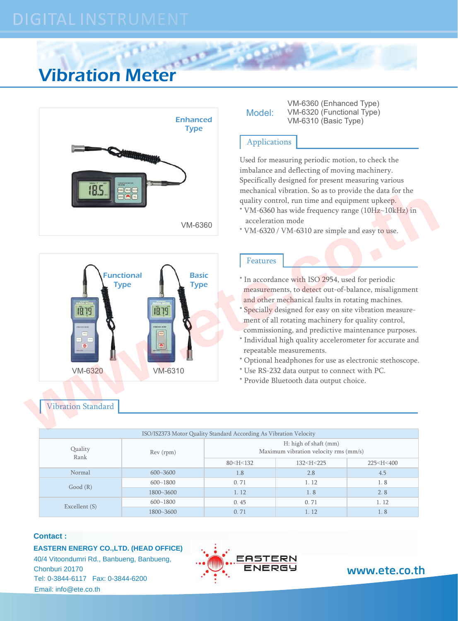# Vibration Meter





Vibration Standard

| Model: |  |
|--------|--|

VM-6360 (Enhanced Type) VM-6320 (Functional Type) Enhanced VM-6310 (Basic Type)

# Applications

Used for measuring periodic motion, to check the imbalance and deflecting of moving machinery. Specifically designed for present measuring various mechanical vibration. So as to provide the data for the quality control, run time and equipment upkeep.

- $*$  VM-6360 has wide frequency range (10H $z$ ~10kHz) in acceleration mode
- \* VM-6320 / VM-6310 are simple and easy to use.

# Features

- \* In accordance with ISO 2954, used for periodic measurements, to detect out-of-balance, misalignment and other mechanical faults in rotating machines.
- \* Specially designed for easy on site vibration measure ment of all rotating machinery for quality control,
- commissioning, and predictive maintenance purposes.
- \* Individual high quality accelerometer for accurate and repeatable measurements.
- \* Optional headphones for use as electronic stethoscope.
- \* Use RS-232 data output to connect with PC.
- \* Provide Bluetooth data output choice.

| ISO/IS2373 Motor Quality Standard According As Vibration Velocity |              |                                                                |                                                                |                             |  |  |  |
|-------------------------------------------------------------------|--------------|----------------------------------------------------------------|----------------------------------------------------------------|-----------------------------|--|--|--|
| Quality<br>Rank                                                   | Rev (rpm)    | H: high of shaft (mm)<br>Maximum vibration velocity rms (mm/s) |                                                                |                             |  |  |  |
|                                                                   |              | $80<$ H $<$ 132                                                | 132 <h<225< td=""><td>225<h<400< td=""></h<400<></td></h<225<> | 225 <h<400< td=""></h<400<> |  |  |  |
| Normal                                                            | $600 - 3600$ | 1.8                                                            | 2.8                                                            | 4.5                         |  |  |  |
| Good(R)                                                           | $600 - 1800$ | 0.71                                                           | 1.12                                                           | 1.8                         |  |  |  |
|                                                                   | 1800~3600    | 1.12                                                           | 1.8                                                            | 2.8                         |  |  |  |
| Excellent (S)                                                     | $600 - 1800$ | 0.45                                                           | 0.71                                                           | 1.12                        |  |  |  |
|                                                                   | 1800~3600    | 0.71                                                           | 1.12                                                           | 1.8                         |  |  |  |

## **Contact :**

**EASTERN ENERGY CO.,LTD. (HEAD OFFICE)**

 Tel: 0-3844-6117 Fax: 0-3844-6200 40/4 Vitoondumri Rd., Banbueng, Banbueng, Email: info@ete.co.th Chonburi 20170 **WWW.ete.co.th**